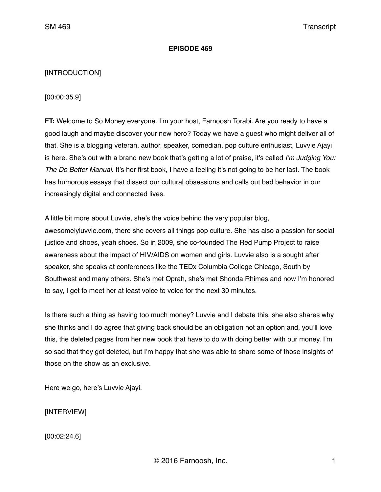### **EPISODE 469**

## [INTRODUCTION]

[00:00:35.9]

**FT:** Welcome to So Money everyone. I'm your host, Farnoosh Torabi. Are you ready to have a good laugh and maybe discover your new hero? Today we have a guest who might deliver all of that. She is a blogging veteran, author, speaker, comedian, pop culture enthusiast, Luvvie Ajayi is here. She's out with a brand new book that's getting a lot of praise, it's called *I'm Judging You: The Do Better Manual*. It's her first book, I have a feeling it's not going to be her last. The book has humorous essays that dissect our cultural obsessions and calls out bad behavior in our increasingly digital and connected lives.

A little bit more about Luvvie, she's the voice behind the very popular blog, awesomelyluvvie.com, there she covers all things pop culture. She has also a passion for social justice and shoes, yeah shoes. So in 2009, she co-founded The Red Pump Project to raise awareness about the impact of HIV/AIDS on women and girls. Luvvie also is a sought after speaker, she speaks at conferences like the TEDx Columbia College Chicago, South by Southwest and many others. She's met Oprah, she's met Shonda Rhimes and now I'm honored to say, I get to meet her at least voice to voice for the next 30 minutes.

Is there such a thing as having too much money? Luvvie and I debate this, she also shares why she thinks and I do agree that giving back should be an obligation not an option and, you'll love this, the deleted pages from her new book that have to do with doing better with our money. I'm so sad that they got deleted, but I'm happy that she was able to share some of those insights of those on the show as an exclusive.

Here we go, here's Luvvie Ajayi.

[INTERVIEW]

[00:02:24.6]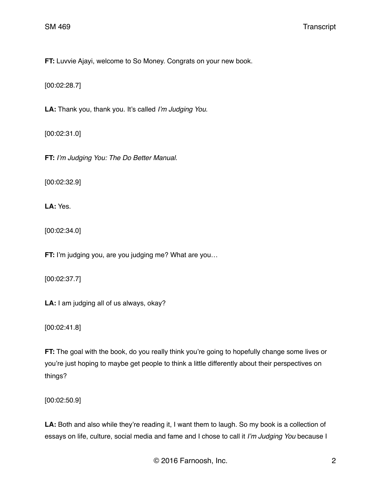**FT:** Luvvie Ajayi, welcome to So Money. Congrats on your new book.

[00:02:28.7]

**LA:** Thank you, thank you. It's called *I'm Judging You*.

[00:02:31.0]

**FT:** *I'm Judging You: The Do Better Manual*.

[00:02:32.9]

**LA:** Yes.

[00:02:34.0]

**FT:** I'm judging you, are you judging me? What are you...

[00:02:37.7]

**LA:** I am judging all of us always, okay?

[00:02:41.8]

**FT:** The goal with the book, do you really think you're going to hopefully change some lives or you're just hoping to maybe get people to think a little differently about their perspectives on things?

[00:02:50.9]

LA: Both and also while they're reading it, I want them to laugh. So my book is a collection of essays on life, culture, social media and fame and I chose to call it *I'm Judging You* because I

© 2016 Farnoosh, Inc. 2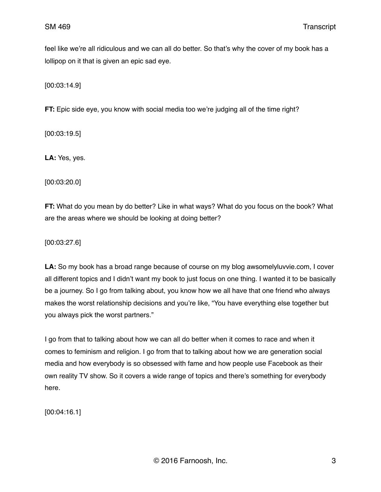feel like we're all ridiculous and we can all do better. So that's why the cover of my book has a lollipop on it that is given an epic sad eye.

[00:03:14.9]

**FT:** Epic side eye, you know with social media too we're judging all of the time right?

[00:03:19.5]

**LA:** Yes, yes.

[00:03:20.0]

**FT:** What do you mean by do better? Like in what ways? What do you focus on the book? What are the areas where we should be looking at doing better?

[00:03:27.6]

**LA:** So my book has a broad range because of course on my blog awsomelyluvvie.com, I cover all different topics and I didn't want my book to just focus on one thing. I wanted it to be basically be a journey. So I go from talking about, you know how we all have that one friend who always makes the worst relationship decisions and you're like, "You have everything else together but you always pick the worst partners."

I go from that to talking about how we can all do better when it comes to race and when it comes to feminism and religion. I go from that to talking about how we are generation social media and how everybody is so obsessed with fame and how people use Facebook as their own reality TV show. So it covers a wide range of topics and there's something for everybody here.

[00:04:16.1]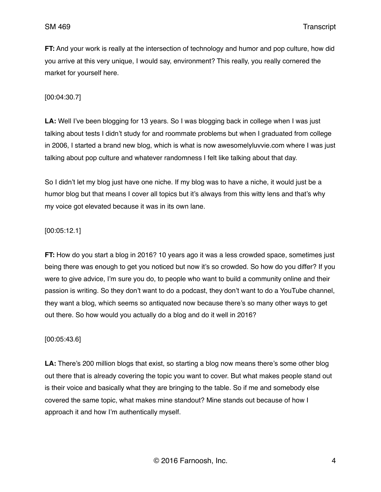**FT:** And your work is really at the intersection of technology and humor and pop culture, how did you arrive at this very unique, I would say, environment? This really, you really cornered the market for yourself here.

[00:04:30.7]

**LA:** Well I've been blogging for 13 years. So I was blogging back in college when I was just talking about tests I didn't study for and roommate problems but when I graduated from college in 2006, I started a brand new blog, which is what is now awesomelyluvvie.com where I was just talking about pop culture and whatever randomness I felt like talking about that day.

So I didn't let my blog just have one niche. If my blog was to have a niche, it would just be a humor blog but that means I cover all topics but it's always from this witty lens and that's why my voice got elevated because it was in its own lane.

[00:05:12.1]

**FT:** How do you start a blog in 2016? 10 years ago it was a less crowded space, sometimes just being there was enough to get you noticed but now it's so crowded. So how do you differ? If you were to give advice, I'm sure you do, to people who want to build a community online and their passion is writing. So they don't want to do a podcast, they don't want to do a YouTube channel, they want a blog, which seems so antiquated now because there's so many other ways to get out there. So how would you actually do a blog and do it well in 2016?

## [00:05:43.6]

**LA:** There's 200 million blogs that exist, so starting a blog now means there's some other blog out there that is already covering the topic you want to cover. But what makes people stand out is their voice and basically what they are bringing to the table. So if me and somebody else covered the same topic, what makes mine standout? Mine stands out because of how I approach it and how I'm authentically myself.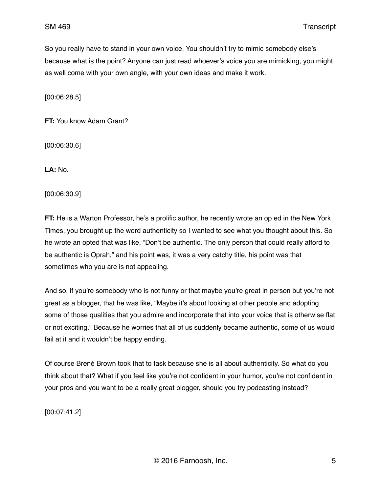So you really have to stand in your own voice. You shouldn't try to mimic somebody else's because what is the point? Anyone can just read whoever's voice you are mimicking, you might as well come with your own angle, with your own ideas and make it work.

[00:06:28.5]

**FT:** You know Adam Grant?

[00:06:30.6]

**LA:** No.

[00:06:30.9]

**FT:** He is a Warton Professor, he's a prolific author, he recently wrote an op ed in the New York Times, you brought up the word authenticity so I wanted to see what you thought about this. So he wrote an opted that was like, "Don't be authentic. The only person that could really afford to be authentic is Oprah," and his point was, it was a very catchy title, his point was that sometimes who you are is not appealing.

And so, if you're somebody who is not funny or that maybe you're great in person but you're not great as a blogger, that he was like, "Maybe it's about looking at other people and adopting some of those qualities that you admire and incorporate that into your voice that is otherwise flat or not exciting." Because he worries that all of us suddenly became authentic, some of us would fail at it and it wouldn't be happy ending.

Of course Brené Brown took that to task because she is all about authenticity. So what do you think about that? What if you feel like you're not confident in your humor, you're not confident in your pros and you want to be a really great blogger, should you try podcasting instead?

[00:07:41.2]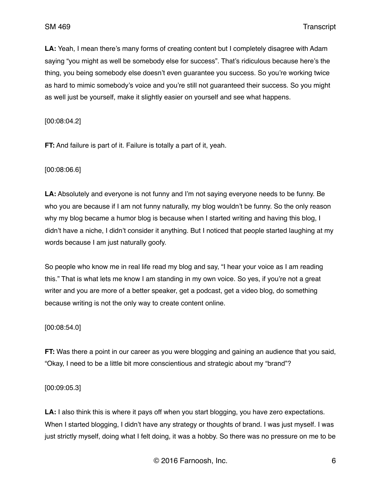**LA:** Yeah, I mean there's many forms of creating content but I completely disagree with Adam saying "you might as well be somebody else for success". That's ridiculous because here's the thing, you being somebody else doesn't even guarantee you success. So you're working twice as hard to mimic somebody's voice and you're still not guaranteed their success. So you might as well just be yourself, make it slightly easier on yourself and see what happens.

[00:08:04.2]

**FT:** And failure is part of it. Failure is totally a part of it, yeah.

[00:08:06.6]

**LA:** Absolutely and everyone is not funny and I'm not saying everyone needs to be funny. Be who you are because if I am not funny naturally, my blog wouldn't be funny. So the only reason why my blog became a humor blog is because when I started writing and having this blog, I didn't have a niche, I didn't consider it anything. But I noticed that people started laughing at my words because I am just naturally goofy.

So people who know me in real life read my blog and say, "I hear your voice as I am reading this." That is what lets me know I am standing in my own voice. So yes, if you're not a great writer and you are more of a better speaker, get a podcast, get a video blog, do something because writing is not the only way to create content online.

[00:08:54.0]

**FT:** Was there a point in our career as you were blogging and gaining an audience that you said, "Okay, I need to be a little bit more conscientious and strategic about my "brand"?

[00:09:05.3]

**LA:** I also think this is where it pays off when you start blogging, you have zero expectations. When I started blogging. I didn't have any strategy or thoughts of brand. I was just myself. I was just strictly myself, doing what I felt doing, it was a hobby. So there was no pressure on me to be

© 2016 Farnoosh, Inc. 6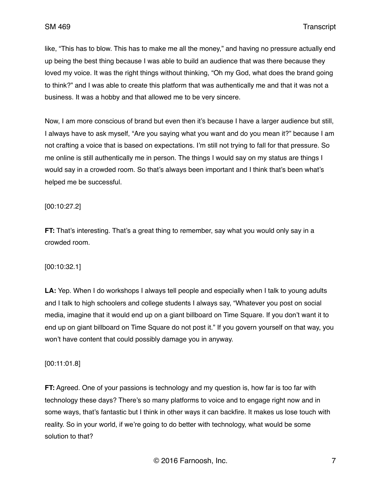like, "This has to blow. This has to make me all the money," and having no pressure actually end up being the best thing because I was able to build an audience that was there because they loved my voice. It was the right things without thinking, "Oh my God, what does the brand going to think?" and I was able to create this platform that was authentically me and that it was not a business. It was a hobby and that allowed me to be very sincere.

Now, I am more conscious of brand but even then it's because I have a larger audience but still, I always have to ask myself, "Are you saying what you want and do you mean it?" because I am not crafting a voice that is based on expectations. I'm still not trying to fall for that pressure. So me online is still authentically me in person. The things I would say on my status are things I would say in a crowded room. So that's always been important and I think that's been what's helped me be successful.

## [00:10:27.2]

**FT:** That's interesting. That's a great thing to remember, say what you would only say in a crowded room.

## [00:10:32.1]

**LA:** Yep. When I do workshops I always tell people and especially when I talk to young adults and I talk to high schoolers and college students I always say, "Whatever you post on social media, imagine that it would end up on a giant billboard on Time Square. If you don't want it to end up on giant billboard on Time Square do not post it." If you govern yourself on that way, you won't have content that could possibly damage you in anyway.

## [00:11:01.8]

**FT:** Agreed. One of your passions is technology and my question is, how far is too far with technology these days? There's so many platforms to voice and to engage right now and in some ways, that's fantastic but I think in other ways it can backfire. It makes us lose touch with reality. So in your world, if we're going to do better with technology, what would be some solution to that?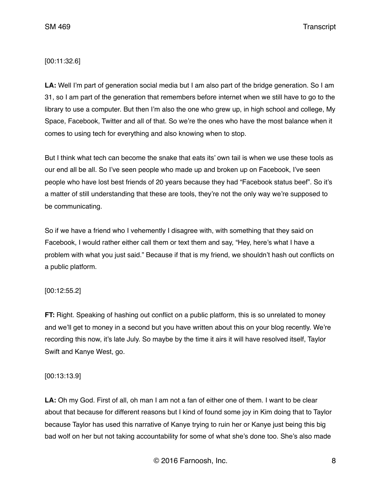SM 469 Transcript

## [00:11:32.6]

**LA:** Well I'm part of generation social media but I am also part of the bridge generation. So I am 31, so I am part of the generation that remembers before internet when we still have to go to the library to use a computer. But then I'm also the one who grew up, in high school and college, My Space, Facebook, Twitter and all of that. So we're the ones who have the most balance when it comes to using tech for everything and also knowing when to stop.

But I think what tech can become the snake that eats its' own tail is when we use these tools as our end all be all. So I've seen people who made up and broken up on Facebook, I've seen people who have lost best friends of 20 years because they had "Facebook status beef". So it's a matter of still understanding that these are tools, they're not the only way we're supposed to be communicating.

So if we have a friend who I vehemently I disagree with, with something that they said on Facebook, I would rather either call them or text them and say, "Hey, here's what I have a problem with what you just said." Because if that is my friend, we shouldn't hash out conflicts on a public platform.

## [00:12:55.2]

**FT:** Right. Speaking of hashing out conflict on a public platform, this is so unrelated to money and we'll get to money in a second but you have written about this on your blog recently. We're recording this now, it's late July. So maybe by the time it airs it will have resolved itself, Taylor Swift and Kanye West, go.

## [00:13:13.9]

**LA:** Oh my God. First of all, oh man I am not a fan of either one of them. I want to be clear about that because for different reasons but I kind of found some joy in Kim doing that to Taylor because Taylor has used this narrative of Kanye trying to ruin her or Kanye just being this big bad wolf on her but not taking accountability for some of what she's done too. She's also made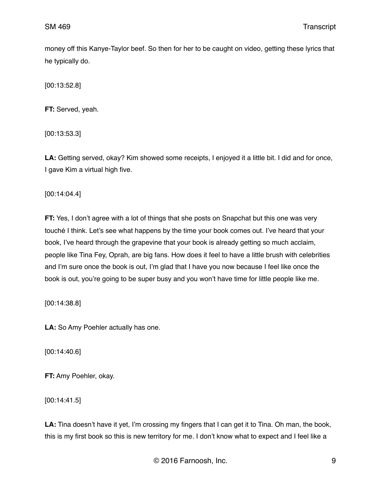money off this Kanye-Taylor beef. So then for her to be caught on video, getting these lyrics that he typically do.

[00:13:52.8]

**FT:** Served, yeah.

[00:13:53.3]

**LA:** Getting served, okay? Kim showed some receipts, I enjoyed it a little bit. I did and for once, I gave Kim a virtual high five.

[00:14:04.4]

**FT:** Yes, I don't agree with a lot of things that she posts on Snapchat but this one was very touché I think. Let's see what happens by the time your book comes out. I've heard that your book, I've heard through the grapevine that your book is already getting so much acclaim, people like Tina Fey, Oprah, are big fans. How does it feel to have a little brush with celebrities and I'm sure once the book is out, I'm glad that I have you now because I feel like once the book is out, you're going to be super busy and you won't have time for little people like me.

[00:14:38.8]

**LA:** So Amy Poehler actually has one.

[00:14:40.6]

**FT:** Amy Poehler, okay.

[00:14:41.5]

**LA:** Tina doesn't have it yet, I'm crossing my fingers that I can get it to Tina. Oh man, the book, this is my first book so this is new territory for me. I don't know what to expect and I feel like a

© 2016 Farnoosh, Inc. 9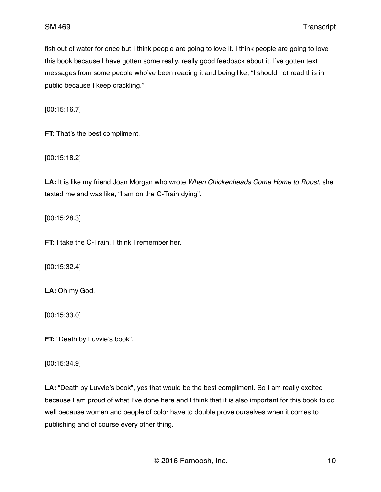fish out of water for once but I think people are going to love it. I think people are going to love this book because I have gotten some really, really good feedback about it. I've gotten text messages from some people who've been reading it and being like, "I should not read this in public because I keep crackling."

[00:15:16.7]

**FT:** That's the best compliment.

[00:15:18.2]

**LA:** It is like my friend Joan Morgan who wrote *When Chickenheads Come Home to Roost*, she texted me and was like, "I am on the C-Train dying".

[00:15:28.3]

**FT:** I take the C-Train. I think I remember her.

[00:15:32.4]

**LA:** Oh my God.

[00:15:33.0]

**FT:** "Death by Luvvie's book".

[00:15:34.9]

**LA:** "Death by Luvvie's book", yes that would be the best compliment. So I am really excited because I am proud of what I've done here and I think that it is also important for this book to do well because women and people of color have to double prove ourselves when it comes to publishing and of course every other thing.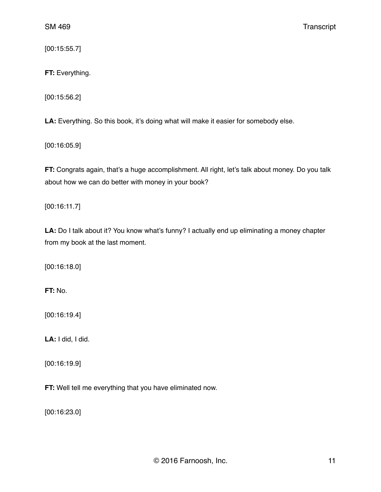[00:15:55.7]

**FT:** Everything.

[00:15:56.2]

**LA:** Everything. So this book, it's doing what will make it easier for somebody else.

[00:16:05.9]

**FT:** Congrats again, that's a huge accomplishment. All right, let's talk about money. Do you talk about how we can do better with money in your book?

[00:16:11.7]

LA: Do I talk about it? You know what's funny? I actually end up eliminating a money chapter from my book at the last moment.

[00:16:18.0]

**FT:** No.

[00:16:19.4]

**LA:** I did, I did.

[00:16:19.9]

**FT:** Well tell me everything that you have eliminated now.

[00:16:23.0]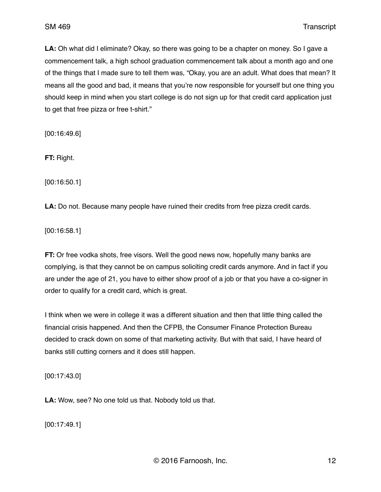**LA:** Oh what did I eliminate? Okay, so there was going to be a chapter on money. So I gave a commencement talk, a high school graduation commencement talk about a month ago and one of the things that I made sure to tell them was, "Okay, you are an adult. What does that mean? It means all the good and bad, it means that you're now responsible for yourself but one thing you should keep in mind when you start college is do not sign up for that credit card application just to get that free pizza or free t-shirt."

[00:16:49.6]

**FT:** Right.

[00:16:50.1]

**LA:** Do not. Because many people have ruined their credits from free pizza credit cards.

[00:16:58.1]

**FT:** Or free vodka shots, free visors. Well the good news now, hopefully many banks are complying, is that they cannot be on campus soliciting credit cards anymore. And in fact if you are under the age of 21, you have to either show proof of a job or that you have a co-signer in order to qualify for a credit card, which is great.

I think when we were in college it was a different situation and then that little thing called the financial crisis happened. And then the CFPB, the Consumer Finance Protection Bureau decided to crack down on some of that marketing activity. But with that said, I have heard of banks still cutting corners and it does still happen.

[00:17:43.0]

**LA:** Wow, see? No one told us that. Nobody told us that.

[00:17:49.1]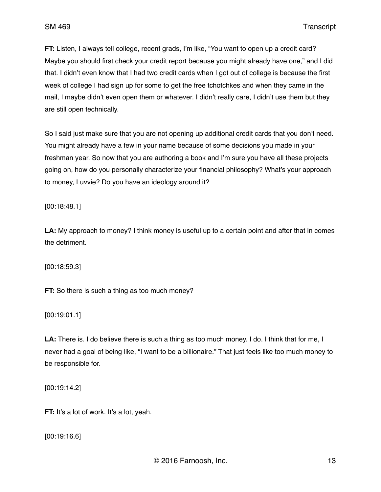**FT:** Listen, I always tell college, recent grads, I'm like, "You want to open up a credit card? Maybe you should first check your credit report because you might already have one," and I did that. I didn't even know that I had two credit cards when I got out of college is because the first week of college I had sign up for some to get the free tchotchkes and when they came in the mail, I maybe didn't even open them or whatever. I didn't really care, I didn't use them but they are still open technically.

So I said just make sure that you are not opening up additional credit cards that you don't need. You might already have a few in your name because of some decisions you made in your freshman year. So now that you are authoring a book and I'm sure you have all these projects going on, how do you personally characterize your financial philosophy? What's your approach to money, Luvvie? Do you have an ideology around it?

[00:18:48.1]

**LA:** My approach to money? I think money is useful up to a certain point and after that in comes the detriment.

[00:18:59.3]

**FT:** So there is such a thing as too much money?

[00:19:01.1]

**LA:** There is. I do believe there is such a thing as too much money. I do. I think that for me, I never had a goal of being like, "I want to be a billionaire." That just feels like too much money to be responsible for.

[00:19:14.2]

**FT:** It's a lot of work. It's a lot, yeah.

[00:19:16.6]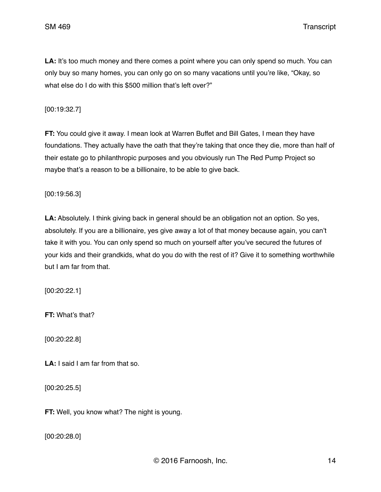SM 469 Transcript

LA: It's too much money and there comes a point where you can only spend so much. You can only buy so many homes, you can only go on so many vacations until you're like, "Okay, so what else do I do with this \$500 million that's left over?"

[00:19:32.7]

**FT:** You could give it away. I mean look at Warren Buffet and Bill Gates, I mean they have foundations. They actually have the oath that they're taking that once they die, more than half of their estate go to philanthropic purposes and you obviously run The Red Pump Project so maybe that's a reason to be a billionaire, to be able to give back.

[00:19:56.3]

**LA:** Absolutely. I think giving back in general should be an obligation not an option. So yes, absolutely. If you are a billionaire, yes give away a lot of that money because again, you can't take it with you. You can only spend so much on yourself after you've secured the futures of your kids and their grandkids, what do you do with the rest of it? Give it to something worthwhile but I am far from that.

[00:20:22.1]

**FT:** What's that?

[00:20:22.8]

**LA:** I said I am far from that so.

[00:20:25.5]

**FT:** Well, you know what? The night is young.

[00:20:28.0]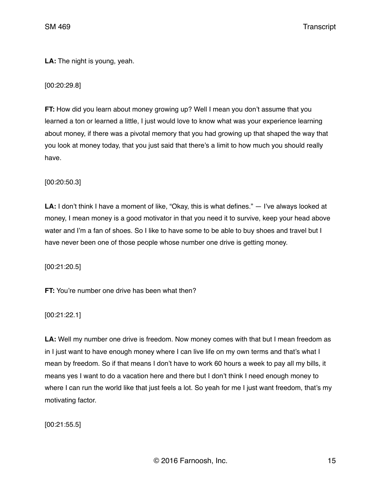**LA:** The night is young, yeah.

[00:20:29.8]

**FT:** How did you learn about money growing up? Well I mean you don't assume that you learned a ton or learned a little, I just would love to know what was your experience learning about money, if there was a pivotal memory that you had growing up that shaped the way that you look at money today, that you just said that there's a limit to how much you should really have.

[00:20:50.3]

**LA:** I don't think I have a moment of like, "Okay, this is what defines." — I've always looked at money, I mean money is a good motivator in that you need it to survive, keep your head above water and I'm a fan of shoes. So I like to have some to be able to buy shoes and travel but I have never been one of those people whose number one drive is getting money.

[00:21:20.5]

**FT:** You're number one drive has been what then?

[00:21:22.1]

**LA:** Well my number one drive is freedom. Now money comes with that but I mean freedom as in I just want to have enough money where I can live life on my own terms and that's what I mean by freedom. So if that means I don't have to work 60 hours a week to pay all my bills, it means yes I want to do a vacation here and there but I don't think I need enough money to where I can run the world like that just feels a lot. So yeah for me I just want freedom, that's my motivating factor.

[00:21:55.5]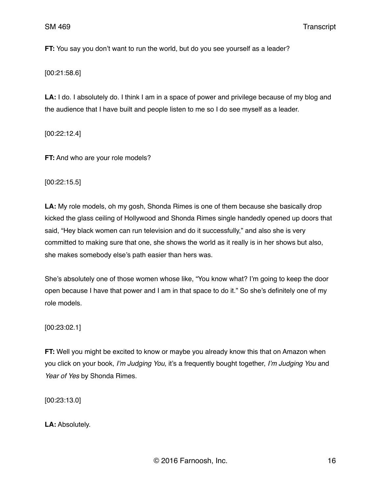**FT:** You say you don't want to run the world, but do you see yourself as a leader?

[00:21:58.6]

LA: I do. I absolutely do. I think I am in a space of power and privilege because of my blog and the audience that I have built and people listen to me so I do see myself as a leader.

[00:22:12.4]

**FT:** And who are your role models?

[00:22:15.5]

**LA:** My role models, oh my gosh, Shonda Rimes is one of them because she basically drop kicked the glass ceiling of Hollywood and Shonda Rimes single handedly opened up doors that said, "Hey black women can run television and do it successfully," and also she is very committed to making sure that one, she shows the world as it really is in her shows but also, she makes somebody else's path easier than hers was.

She's absolutely one of those women whose like, "You know what? I'm going to keep the door open because I have that power and I am in that space to do it." So she's definitely one of my role models.

[00:23:02.1]

**FT:** Well you might be excited to know or maybe you already know this that on Amazon when you click on your book, *I'm Judging You*, it's a frequently bought together, *I'm Judging You* and *Year of Yes* by Shonda Rimes.

[00:23:13.0]

**LA:** Absolutely.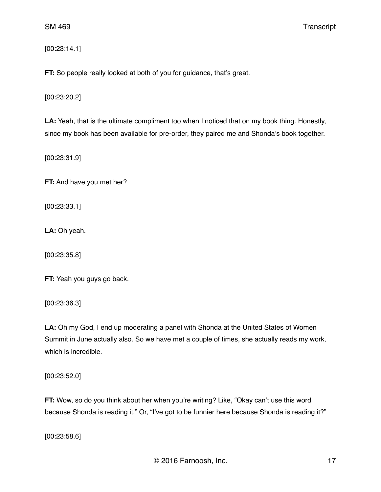[00:23:14.1]

**FT:** So people really looked at both of you for guidance, that's great.

[00:23:20.2]

**LA:** Yeah, that is the ultimate compliment too when I noticed that on my book thing. Honestly, since my book has been available for pre-order, they paired me and Shonda's book together.

[00:23:31.9]

**FT:** And have you met her?

[00:23:33.1]

**LA:** Oh yeah.

[00:23:35.8]

**FT:** Yeah you guys go back.

[00:23:36.3]

**LA:** Oh my God, I end up moderating a panel with Shonda at the United States of Women Summit in June actually also. So we have met a couple of times, she actually reads my work, which is incredible.

[00:23:52.0]

**FT:** Wow, so do you think about her when you're writing? Like, "Okay can't use this word because Shonda is reading it." Or, "I've got to be funnier here because Shonda is reading it?"

[00:23:58.6]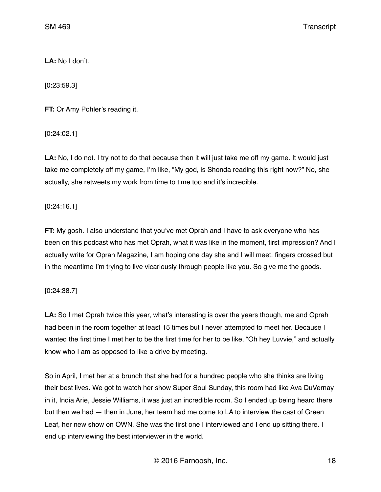**LA:** No I don't.

[0:23:59.3]

**FT:** Or Amy Pohler's reading it.

[0:24:02.1]

**LA:** No, I do not. I try not to do that because then it will just take me off my game. It would just take me completely off my game, I'm like, "My god, is Shonda reading this right now?" No, she actually, she retweets my work from time to time too and it's incredible.

[0:24:16.1]

**FT:** My gosh. I also understand that you've met Oprah and I have to ask everyone who has been on this podcast who has met Oprah, what it was like in the moment, first impression? And I actually write for Oprah Magazine, I am hoping one day she and I will meet, fingers crossed but in the meantime I'm trying to live vicariously through people like you. So give me the goods.

## [0:24:38.7]

**LA:** So I met Oprah twice this year, what's interesting is over the years though, me and Oprah had been in the room together at least 15 times but I never attempted to meet her. Because I wanted the first time I met her to be the first time for her to be like, "Oh hey Luvvie," and actually know who I am as opposed to like a drive by meeting.

So in April, I met her at a brunch that she had for a hundred people who she thinks are living their best lives. We got to watch her show Super Soul Sunday, this room had like Ava DuVernay in it, India Arie, Jessie Williams, it was just an incredible room. So I ended up being heard there but then we had — then in June, her team had me come to LA to interview the cast of Green Leaf, her new show on OWN. She was the first one I interviewed and I end up sitting there. I end up interviewing the best interviewer in the world.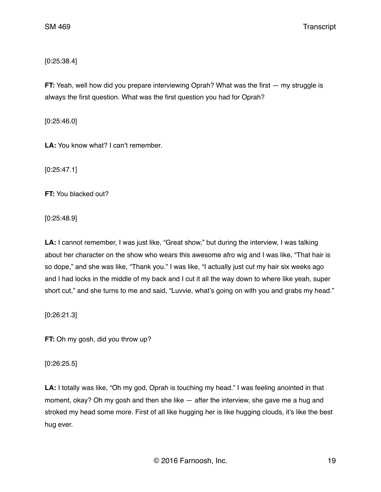# [0:25:38.4]

**FT:** Yeah, well how did you prepare interviewing Oprah? What was the first — my struggle is always the first question. What was the first question you had for Oprah?

[0:25:46.0]

**LA:** You know what? I can't remember.

[0:25:47.1]

**FT:** You blacked out?

[0:25:48.9]

LA: I cannot remember, I was just like, "Great show," but during the interview, I was talking about her character on the show who wears this awesome afro wig and I was like, "That hair is so dope," and she was like, "Thank you." I was like, "I actually just cut my hair six weeks ago and I had locks in the middle of my back and I cut it all the way down to where like yeah, super short cut," and she turns to me and said, "Luvvie, what's going on with you and grabs my head."

[0:26:21.3]

**FT:** Oh my gosh, did you throw up?

[0:26:25.5]

**LA:** I totally was like, "Oh my god, Oprah is touching my head." I was feeling anointed in that moment, okay? Oh my gosh and then she like — after the interview, she gave me a hug and stroked my head some more. First of all like hugging her is like hugging clouds, it's like the best hug ever.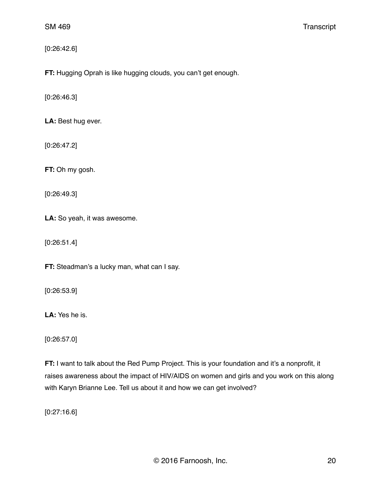# [0:26:42.6]

**FT:** Hugging Oprah is like hugging clouds, you can't get enough.

[0:26:46.3]

**LA:** Best hug ever.

[0:26:47.2]

**FT:** Oh my gosh.

[0:26:49.3]

**LA:** So yeah, it was awesome.

[0:26:51.4]

**FT:** Steadman's a lucky man, what can I say.

[0:26:53.9]

**LA:** Yes he is.

[0:26:57.0]

**FT:** I want to talk about the Red Pump Project. This is your foundation and it's a nonprofit, it raises awareness about the impact of HIV/AIDS on women and girls and you work on this along with Karyn Brianne Lee. Tell us about it and how we can get involved?

[0:27:16.6]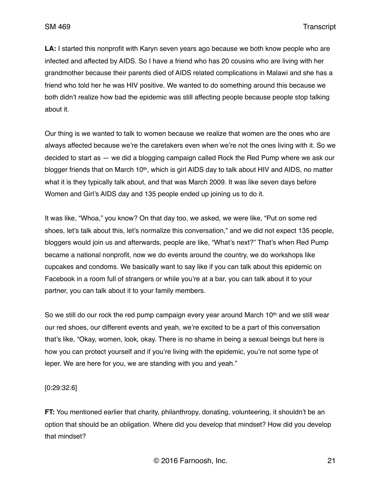**LA:** I started this nonprofit with Karyn seven years ago because we both know people who are infected and affected by AIDS. So I have a friend who has 20 cousins who are living with her grandmother because their parents died of AIDS related complications in Malawi and she has a friend who told her he was HIV positive. We wanted to do something around this because we both didn't realize how bad the epidemic was still affecting people because people stop talking about it.

Our thing is we wanted to talk to women because we realize that women are the ones who are always affected because we're the caretakers even when we're not the ones living with it. So we decided to start as — we did a blogging campaign called Rock the Red Pump where we ask our blogger friends that on March 10<sup>th</sup>, which is girl AIDS day to talk about HIV and AIDS, no matter what it is they typically talk about, and that was March 2009. It was like seven days before Women and Girl's AIDS day and 135 people ended up joining us to do it.

It was like, "Whoa," you know? On that day too, we asked, we were like, "Put on some red shoes, let's talk about this, let's normalize this conversation," and we did not expect 135 people, bloggers would join us and afterwards, people are like, "What's next?" That's when Red Pump became a national nonprofit, now we do events around the country, we do workshops like cupcakes and condoms. We basically want to say like if you can talk about this epidemic on Facebook in a room full of strangers or while you're at a bar, you can talk about it to your partner, you can talk about it to your family members.

So we still do our rock the red pump campaign every year around March 10<sup>th</sup> and we still wear our red shoes, our different events and yeah, we're excited to be a part of this conversation that's like, "Okay, women, look, okay. There is no shame in being a sexual beings but here is how you can protect yourself and if you're living with the epidemic, you're not some type of leper. We are here for you, we are standing with you and yeah."

[0:29:32.6]

**FT:** You mentioned earlier that charity, philanthropy, donating, volunteering, it shouldn't be an option that should be an obligation. Where did you develop that mindset? How did you develop that mindset?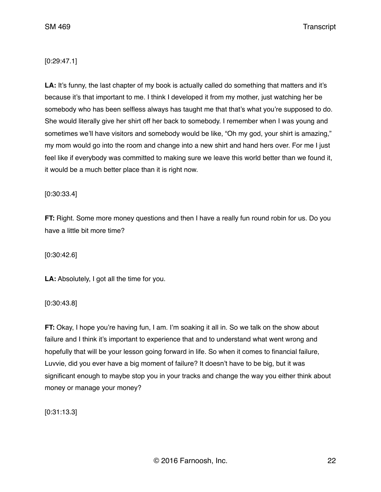## [0:29:47.1]

LA: It's funny, the last chapter of my book is actually called do something that matters and it's because it's that important to me. I think I developed it from my mother, just watching her be somebody who has been selfless always has taught me that that's what you're supposed to do. She would literally give her shirt off her back to somebody. I remember when I was young and sometimes we'll have visitors and somebody would be like, "Oh my god, your shirt is amazing," my mom would go into the room and change into a new shirt and hand hers over. For me I just feel like if everybody was committed to making sure we leave this world better than we found it, it would be a much better place than it is right now.

[0:30:33.4]

**FT:** Right. Some more money questions and then I have a really fun round robin for us. Do you have a little bit more time?

[0:30:42.6]

**LA:** Absolutely, I got all the time for you.

[0:30:43.8]

**FT:** Okay, I hope you're having fun, I am. I'm soaking it all in. So we talk on the show about failure and I think it's important to experience that and to understand what went wrong and hopefully that will be your lesson going forward in life. So when it comes to financial failure, Luvvie, did you ever have a big moment of failure? It doesn't have to be big, but it was significant enough to maybe stop you in your tracks and change the way you either think about money or manage your money?

[0:31:13.3]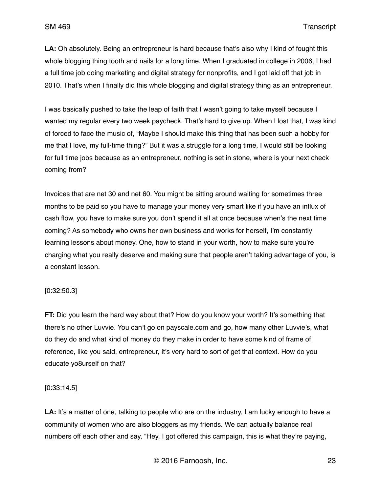**LA:** Oh absolutely. Being an entrepreneur is hard because that's also why I kind of fought this whole blogging thing tooth and nails for a long time. When I graduated in college in 2006, I had a full time job doing marketing and digital strategy for nonprofits, and I got laid off that job in 2010. That's when I finally did this whole blogging and digital strategy thing as an entrepreneur.

I was basically pushed to take the leap of faith that I wasn't going to take myself because I wanted my regular every two week paycheck. That's hard to give up. When I lost that, I was kind of forced to face the music of, "Maybe I should make this thing that has been such a hobby for me that I love, my full-time thing?" But it was a struggle for a long time, I would still be looking for full time jobs because as an entrepreneur, nothing is set in stone, where is your next check coming from?

Invoices that are net 30 and net 60. You might be sitting around waiting for sometimes three months to be paid so you have to manage your money very smart like if you have an influx of cash flow, you have to make sure you don't spend it all at once because when's the next time coming? As somebody who owns her own business and works for herself, I'm constantly learning lessons about money. One, how to stand in your worth, how to make sure you're charging what you really deserve and making sure that people aren't taking advantage of you, is a constant lesson.

### [0:32:50.3]

**FT:** Did you learn the hard way about that? How do you know your worth? It's something that there's no other Luvvie. You can't go on payscale.com and go, how many other Luvvie's, what do they do and what kind of money do they make in order to have some kind of frame of reference, like you said, entrepreneur, it's very hard to sort of get that context. How do you educate yo8urself on that?

#### [0:33:14.5]

**LA:** It's a matter of one, talking to people who are on the industry, I am lucky enough to have a community of women who are also bloggers as my friends. We can actually balance real numbers off each other and say, "Hey, I got offered this campaign, this is what they're paying,

© 2016 Farnoosh, Inc. 23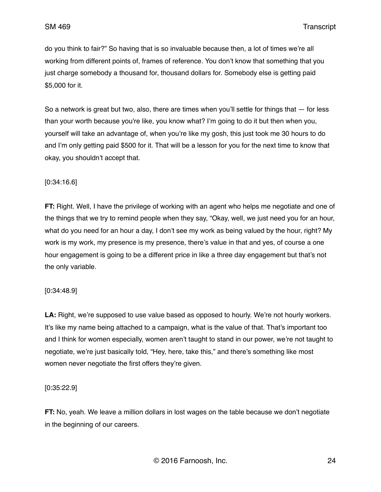do you think to fair?" So having that is so invaluable because then, a lot of times we're all working from different points of, frames of reference. You don't know that something that you just charge somebody a thousand for, thousand dollars for. Somebody else is getting paid \$5,000 for it.

So a network is great but two, also, there are times when you'll settle for things that  $-$  for less than your worth because you're like, you know what? I'm going to do it but then when you, yourself will take an advantage of, when you're like my gosh, this just took me 30 hours to do and I'm only getting paid \$500 for it. That will be a lesson for you for the next time to know that okay, you shouldn't accept that.

### [0:34:16.6]

**FT:** Right. Well, I have the privilege of working with an agent who helps me negotiate and one of the things that we try to remind people when they say, "Okay, well, we just need you for an hour, what do you need for an hour a day, I don't see my work as being valued by the hour, right? My work is my work, my presence is my presence, there's value in that and yes, of course a one hour engagement is going to be a different price in like a three day engagement but that's not the only variable.

#### [0:34:48.9]

**LA:** Right, we're supposed to use value based as opposed to hourly. We're not hourly workers. It's like my name being attached to a campaign, what is the value of that. That's important too and I think for women especially, women aren't taught to stand in our power, we're not taught to negotiate, we're just basically told, "Hey, here, take this," and there's something like most women never negotiate the first offers they're given.

#### [0:35:22.9]

**FT:** No, yeah. We leave a million dollars in lost wages on the table because we don't negotiate in the beginning of our careers.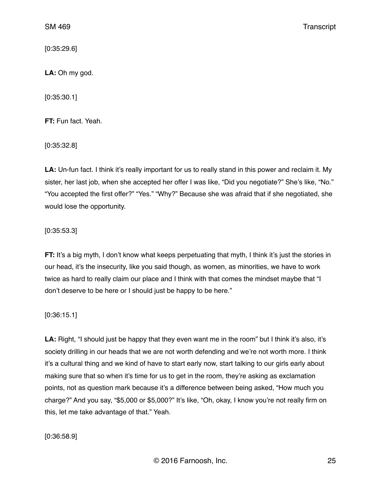[0:35:29.6]

**LA:** Oh my god.

[0:35:30.1]

**FT:** Fun fact. Yeah.

[0:35:32.8]

**LA:** Un-fun fact. I think it's really important for us to really stand in this power and reclaim it. My sister, her last job, when she accepted her offer I was like, "Did you negotiate?" She's like, "No." "You accepted the first offer?" "Yes." "Why?" Because she was afraid that if she negotiated, she would lose the opportunity.

## [0:35:53.3]

**FT:** It's a big myth, I don't know what keeps perpetuating that myth, I think it's just the stories in our head, it's the insecurity, like you said though, as women, as minorities, we have to work twice as hard to really claim our place and I think with that comes the mindset maybe that "I don't deserve to be here or I should just be happy to be here."

[0:36:15.1]

**LA:** Right, "I should just be happy that they even want me in the room" but I think it's also, it's society drilling in our heads that we are not worth defending and we're not worth more. I think it's a cultural thing and we kind of have to start early now, start talking to our girls early about making sure that so when it's time for us to get in the room, they're asking as exclamation points, not as question mark because it's a difference between being asked, "How much you charge?" And you say, "\$5,000 or \$5,000?" It's like, "Oh, okay, I know you're not really firm on this, let me take advantage of that." Yeah.

[0:36:58.9]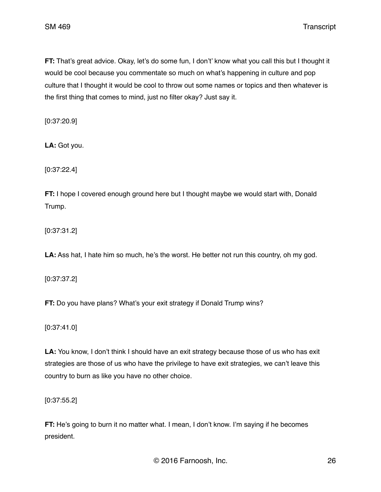**FT:** That's great advice. Okay, let's do some fun, I don't' know what you call this but I thought it would be cool because you commentate so much on what's happening in culture and pop culture that I thought it would be cool to throw out some names or topics and then whatever is the first thing that comes to mind, just no filter okay? Just say it.

[0:37:20.9]

**LA:** Got you.

[0:37:22.4]

**FT:** I hope I covered enough ground here but I thought maybe we would start with, Donald Trump.

[0:37:31.2]

**LA:** Ass hat, I hate him so much, he's the worst. He better not run this country, oh my god.

[0:37:37.2]

**FT:** Do you have plans? What's your exit strategy if Donald Trump wins?

[0:37:41.0]

LA: You know, I don't think I should have an exit strategy because those of us who has exit strategies are those of us who have the privilege to have exit strategies, we can't leave this country to burn as like you have no other choice.

[0:37:55.2]

**FT:** He's going to burn it no matter what. I mean, I don't know. I'm saying if he becomes president.

© 2016 Farnoosh, Inc. 26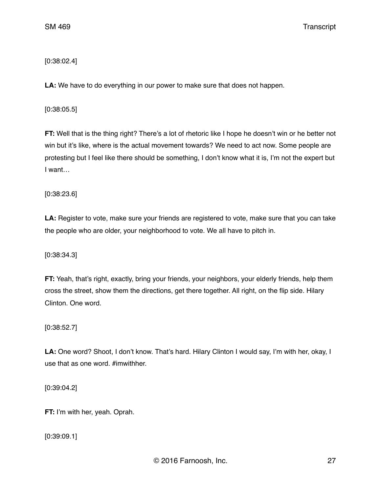# [0:38:02.4]

**LA:** We have to do everything in our power to make sure that does not happen.

[0:38:05.5]

**FT:** Well that is the thing right? There's a lot of rhetoric like I hope he doesn't win or he better not win but it's like, where is the actual movement towards? We need to act now. Some people are protesting but I feel like there should be something, I don't know what it is, I'm not the expert but I want…

[0:38:23.6]

**LA:** Register to vote, make sure your friends are registered to vote, make sure that you can take the people who are older, your neighborhood to vote. We all have to pitch in.

[0:38:34.3]

**FT:** Yeah, that's right, exactly, bring your friends, your neighbors, your elderly friends, help them cross the street, show them the directions, get there together. All right, on the flip side. Hilary Clinton. One word.

[0:38:52.7]

**LA:** One word? Shoot, I don't know. That's hard. Hilary Clinton I would say, I'm with her, okay, I use that as one word. #imwithher.

[0:39:04.2]

**FT:** I'm with her, yeah. Oprah.

[0:39:09.1]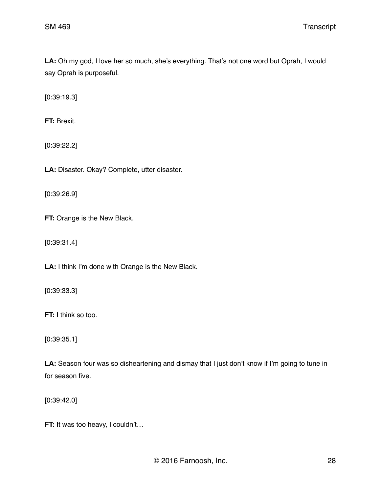LA: Oh my god, I love her so much, she's everything. That's not one word but Oprah, I would say Oprah is purposeful.

[0:39:19.3]

**FT:** Brexit.

[0:39:22.2]

**LA:** Disaster. Okay? Complete, utter disaster.

[0:39:26.9]

**FT:** Orange is the New Black.

[0:39:31.4]

**LA:** I think I'm done with Orange is the New Black.

[0:39:33.3]

**FT:** I think so too.

[0:39:35.1]

LA: Season four was so disheartening and dismay that I just don't know if I'm going to tune in for season five.

[0:39:42.0]

**FT:** It was too heavy, I couldn't...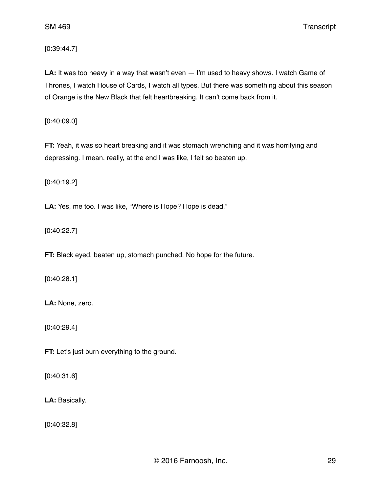SM 469 Transcript

[0:39:44.7]

**LA:** It was too heavy in a way that wasn't even — I'm used to heavy shows. I watch Game of Thrones, I watch House of Cards, I watch all types. But there was something about this season of Orange is the New Black that felt heartbreaking. It can't come back from it.

[0:40:09.0]

**FT:** Yeah, it was so heart breaking and it was stomach wrenching and it was horrifying and depressing. I mean, really, at the end I was like, I felt so beaten up.

[0:40:19.2]

**LA:** Yes, me too. I was like, "Where is Hope? Hope is dead."

[0:40:22.7]

**FT:** Black eyed, beaten up, stomach punched. No hope for the future.

[0:40:28.1]

**LA:** None, zero.

[0:40:29.4]

**FT:** Let's just burn everything to the ground.

[0:40:31.6]

**LA:** Basically.

[0:40:32.8]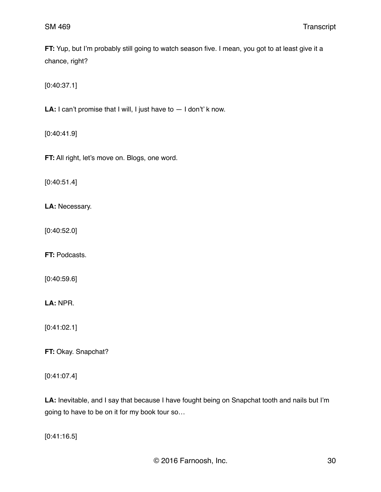**FT:** Yup, but I'm probably still going to watch season five. I mean, you got to at least give it a chance, right?

[0:40:37.1]

LA: I can't promise that I will, I just have to  $-1$  don't' k now.

[0:40:41.9]

**FT:** All right, let's move on. Blogs, one word.

[0:40:51.4]

**LA:** Necessary.

[0:40:52.0]

**FT:** Podcasts.

[0:40:59.6]

**LA:** NPR.

[0:41:02.1]

**FT:** Okay. Snapchat?

[0:41:07.4]

**LA:** Inevitable, and I say that because I have fought being on Snapchat tooth and nails but I'm going to have to be on it for my book tour so…

[0:41:16.5]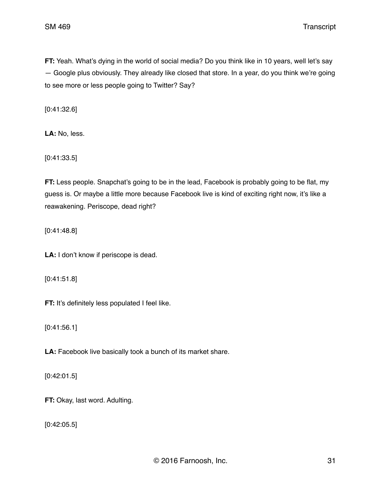**FT:** Yeah. What's dying in the world of social media? Do you think like in 10 years, well let's say — Google plus obviously. They already like closed that store. In a year, do you think we're going to see more or less people going to Twitter? Say?

[0:41:32.6]

**LA:** No, less.

[0:41:33.5]

**FT:** Less people. Snapchat's going to be in the lead, Facebook is probably going to be flat, my guess is. Or maybe a little more because Facebook live is kind of exciting right now, it's like a reawakening. Periscope, dead right?

[0:41:48.8]

**LA:** I don't know if periscope is dead.

[0:41:51.8]

**FT:** It's definitely less populated I feel like.

[0:41:56.1]

**LA:** Facebook live basically took a bunch of its market share.

[0:42:01.5]

**FT:** Okay, last word. Adulting.

[0:42:05.5]